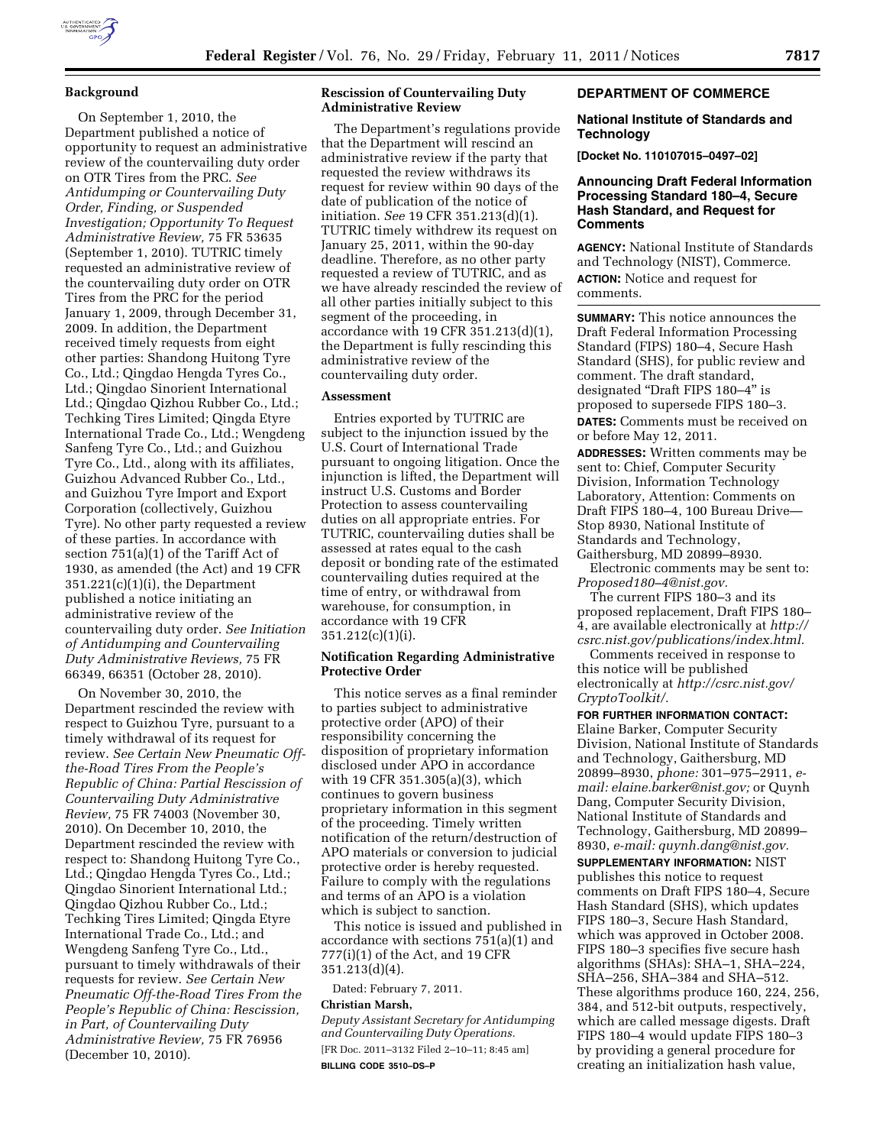### **Background**

On September 1, 2010, the Department published a notice of opportunity to request an administrative review of the countervailing duty order on OTR Tires from the PRC. *See Antidumping or Countervailing Duty Order, Finding, or Suspended Investigation; Opportunity To Request Administrative Review,* 75 FR 53635 (September 1, 2010). TUTRIC timely requested an administrative review of the countervailing duty order on OTR Tires from the PRC for the period January 1, 2009, through December 31, 2009. In addition, the Department received timely requests from eight other parties: Shandong Huitong Tyre Co., Ltd.; Qingdao Hengda Tyres Co., Ltd.; Qingdao Sinorient International Ltd.; Qingdao Qizhou Rubber Co., Ltd.; Techking Tires Limited; Qingda Etyre International Trade Co., Ltd.; Wengdeng Sanfeng Tyre Co., Ltd.; and Guizhou Tyre Co., Ltd., along with its affiliates, Guizhou Advanced Rubber Co., Ltd., and Guizhou Tyre Import and Export Corporation (collectively, Guizhou Tyre). No other party requested a review of these parties. In accordance with section 751(a)(1) of the Tariff Act of 1930, as amended (the Act) and 19 CFR  $351.221(c)(1)(i)$ , the Department published a notice initiating an administrative review of the countervailing duty order. *See Initiation of Antidumping and Countervailing Duty Administrative Reviews,* 75 FR 66349, 66351 (October 28, 2010).

On November 30, 2010, the Department rescinded the review with respect to Guizhou Tyre, pursuant to a timely withdrawal of its request for review. *See Certain New Pneumatic Offthe-Road Tires From the People's Republic of China: Partial Rescission of Countervailing Duty Administrative Review,* 75 FR 74003 (November 30, 2010). On December 10, 2010, the Department rescinded the review with respect to: Shandong Huitong Tyre Co., Ltd.; Qingdao Hengda Tyres Co., Ltd.; Qingdao Sinorient International Ltd.; Qingdao Qizhou Rubber Co., Ltd.; Techking Tires Limited; Qingda Etyre International Trade Co., Ltd.; and Wengdeng Sanfeng Tyre Co., Ltd., pursuant to timely withdrawals of their requests for review. *See Certain New Pneumatic Off-the-Road Tires From the People's Republic of China: Rescission, in Part, of Countervailing Duty Administrative Review,* 75 FR 76956 (December 10, 2010).

### **Rescission of Countervailing Duty Administrative Review**

The Department's regulations provide that the Department will rescind an administrative review if the party that requested the review withdraws its request for review within 90 days of the date of publication of the notice of initiation. *See* 19 CFR 351.213(d)(1). TUTRIC timely withdrew its request on January 25, 2011, within the 90-day deadline. Therefore, as no other party requested a review of TUTRIC, and as we have already rescinded the review of all other parties initially subject to this segment of the proceeding, in accordance with 19 CFR 351.213(d)(1), the Department is fully rescinding this administrative review of the countervailing duty order.

### **Assessment**

Entries exported by TUTRIC are subject to the injunction issued by the U.S. Court of International Trade pursuant to ongoing litigation. Once the injunction is lifted, the Department will instruct U.S. Customs and Border Protection to assess countervailing duties on all appropriate entries. For TUTRIC, countervailing duties shall be assessed at rates equal to the cash deposit or bonding rate of the estimated countervailing duties required at the time of entry, or withdrawal from warehouse, for consumption, in accordance with 19 CFR 351.212(c)(1)(i).

## **Notification Regarding Administrative Protective Order**

This notice serves as a final reminder to parties subject to administrative protective order (APO) of their responsibility concerning the disposition of proprietary information disclosed under APO in accordance with 19 CFR 351.305(a)(3), which continues to govern business proprietary information in this segment of the proceeding. Timely written notification of the return/destruction of APO materials or conversion to judicial protective order is hereby requested. Failure to comply with the regulations and terms of an APO is a violation which is subject to sanction.

This notice is issued and published in accordance with sections 751(a)(1) and 777(i)(1) of the Act, and 19 CFR 351.213(d)(4).

Dated: February 7, 2011.

## **Christian Marsh,**

*Deputy Assistant Secretary for Antidumping and Countervailing Duty Operations.*  [FR Doc. 2011–3132 Filed 2–10–11; 8:45 am] **BILLING CODE 3510–DS–P** 

### **DEPARTMENT OF COMMERCE**

#### **National Institute of Standards and Technology**

**[Docket No. 110107015–0497–02]** 

### **Announcing Draft Federal Information Processing Standard 180–4, Secure Hash Standard, and Request for Comments**

**AGENCY:** National Institute of Standards and Technology (NIST), Commerce. **ACTION:** Notice and request for comments.

**SUMMARY:** This notice announces the Draft Federal Information Processing Standard (FIPS) 180–4, Secure Hash Standard (SHS), for public review and comment. The draft standard, designated ''Draft FIPS 180–4'' is proposed to supersede FIPS 180–3.

**DATES:** Comments must be received on or before May 12, 2011.

**ADDRESSES:** Written comments may be sent to: Chief, Computer Security Division, Information Technology Laboratory, Attention: Comments on Draft FIPS 180–4, 100 Bureau Drive— Stop 8930, National Institute of Standards and Technology, Gaithersburg, MD 20899–8930.

Electronic comments may be sent to: *[Proposed180–4@nist.gov.](mailto:Proposed180-4@nist.gov)* 

The current FIPS 180–3 and its proposed replacement, Draft FIPS 180– 4, are available electronically at *[http://](http://csrc.nist.gov/publications/index.html)  [csrc.nist.gov/publications/index.html.](http://csrc.nist.gov/publications/index.html)* 

Comments received in response to this notice will be published electronically at *[http://csrc.nist.gov/](http://csrc.nist.gov/CryptoToolkit/)  [CryptoToolkit/.](http://csrc.nist.gov/CryptoToolkit/)* 

**FOR FURTHER INFORMATION CONTACT:**  Elaine Barker, Computer Security Division, National Institute of Standards and Technology, Gaithersburg, MD 20899–8930, *phone:* 301–975–2911, *email: [elaine.barker@nist.gov;](mailto:elaine.barker@nist.gov)* or Quynh Dang, Computer Security Division, National Institute of Standards and Technology, Gaithersburg, MD 20899– 8930, *e-mail: [quynh.dang@nist.gov.](mailto:quynh.dang@nist.gov)* 

**SUPPLEMENTARY INFORMATION:** NIST publishes this notice to request comments on Draft FIPS 180–4, Secure Hash Standard (SHS), which updates FIPS 180–3, Secure Hash Standard, which was approved in October 2008. FIPS 180–3 specifies five secure hash algorithms (SHAs): SHA–1, SHA–224, SHA–256, SHA–384 and SHA–512. These algorithms produce 160, 224, 256, 384, and 512-bit outputs, respectively, which are called message digests. Draft FIPS 180–4 would update FIPS 180–3 by providing a general procedure for creating an initialization hash value,